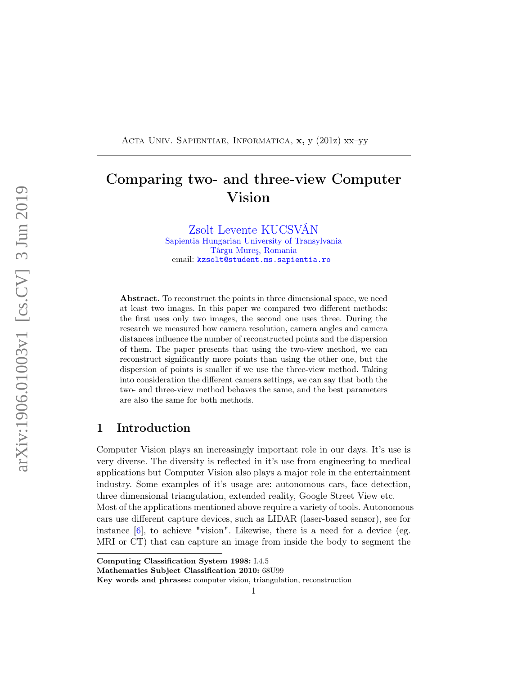<span id="page-0-0"></span>ACTA UNIV. SAPIENTIAE, INFORMATICA, x, y (201z) xx–yy

# Comparing two- and three-view Computer Vision

[Zsolt Levente KUCSVÁN](http://www.domain.edu) [Sapientia Hungarian University of Transylvania](http://www.domain.edu) [Târgu Mureş, Romania](http://www.domain.edu) email: [kzsolt@student.ms.sapientia.ro](mailto:kzsolt@student.ms.sapientia.ro)

Abstract. To reconstruct the points in three dimensional space, we need at least two images. In this paper we compared two different methods: the first uses only two images, the second one uses three. During the research we measured how camera resolution, camera angles and camera distances influence the number of reconstructed points and the dispersion of them. The paper presents that using the two-view method, we can reconstruct significantly more points than using the other one, but the dispersion of points is smaller if we use the three-view method. Taking into consideration the different camera settings, we can say that both the two- and three-view method behaves the same, and the best parameters are also the same for both methods.

### 1 Introduction

Computer Vision plays an increasingly important role in our days. It's use is very diverse. The diversity is reflected in it's use from engineering to medical applications but Computer Vision also plays a major role in the entertainment industry. Some examples of it's usage are: autonomous cars, face detection, three dimensional triangulation, extended reality, Google Street View etc. Most of the applications mentioned above require a variety of tools. Autonomous cars use different capture devices, such as LIDAR (laser-based sensor), see for instance [\[6\]](#page-9-0), to achieve "vision". Likewise, there is a need for a device (eg. MRI or CT) that can capture an image from inside the body to segment the

Computing Classification System 1998: I.4.5

Mathematics Subject Classification 2010: 68U99

Key words and phrases: computer vision, triangulation, reconstruction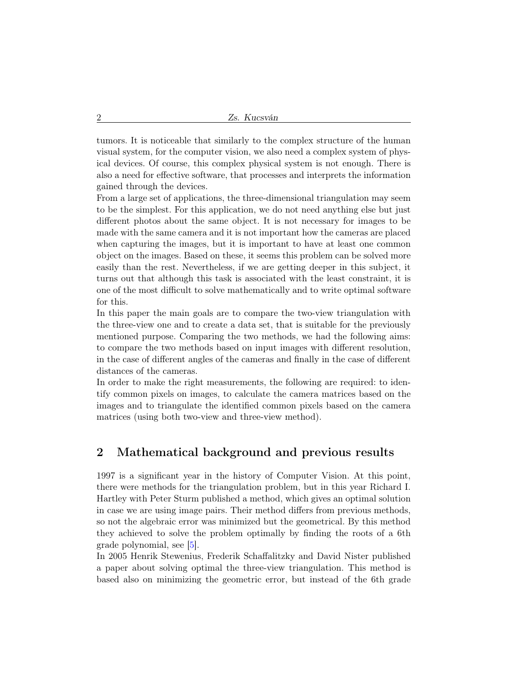tumors. It is noticeable that similarly to the complex structure of the human visual system, for the computer vision, we also need a complex system of physical devices. Of course, this complex physical system is not enough. There is also a need for effective software, that processes and interprets the information gained through the devices.

From a large set of applications, the three-dimensional triangulation may seem to be the simplest. For this application, we do not need anything else but just different photos about the same object. It is not necessary for images to be made with the same camera and it is not important how the cameras are placed when capturing the images, but it is important to have at least one common object on the images. Based on these, it seems this problem can be solved more easily than the rest. Nevertheless, if we are getting deeper in this subject, it turns out that although this task is associated with the least constraint, it is one of the most difficult to solve mathematically and to write optimal software for this.

In this paper the main goals are to compare the two-view triangulation with the three-view one and to create a data set, that is suitable for the previously mentioned purpose. Comparing the two methods, we had the following aims: to compare the two methods based on input images with different resolution, in the case of different angles of the cameras and finally in the case of different distances of the cameras.

In order to make the right measurements, the following are required: to identify common pixels on images, to calculate the camera matrices based on the images and to triangulate the identified common pixels based on the camera matrices (using both two-view and three-view method).

### 2 Mathematical background and previous results

1997 is a significant year in the history of Computer Vision. At this point, there were methods for the triangulation problem, but in this year Richard I. Hartley with Peter Sturm published a method, which gives an optimal solution in case we are using image pairs. Their method differs from previous methods, so not the algebraic error was minimized but the geometrical. By this method they achieved to solve the problem optimally by finding the roots of a 6th grade polynomial, see [\[5\]](#page-9-1).

In 2005 Henrik Stewenius, Frederik Schaffalitzky and David Nister published a paper about solving optimal the three-view triangulation. This method is based also on minimizing the geometric error, but instead of the 6th grade

<span id="page-1-0"></span>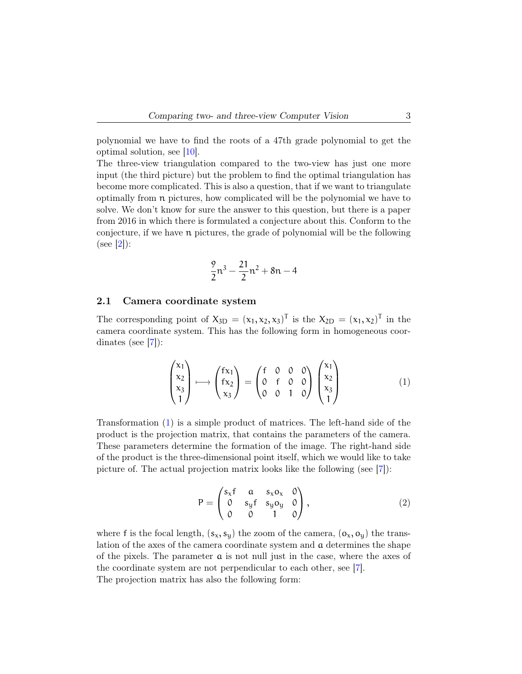<span id="page-2-1"></span>polynomial we have to find the roots of a 47th grade polynomial to get the optimal solution, see [\[10\]](#page-10-0).

The three-view triangulation compared to the two-view has just one more input (the third picture) but the problem to find the optimal triangulation has become more complicated. This is also a question, that if we want to triangulate optimally from n pictures, how complicated will be the polynomial we have to solve. We don't know for sure the answer to this question, but there is a paper from 2016 in which there is formulated a conjecture about this. Conform to the conjecture, if we have n pictures, the grade of polynomial will be the following  $(see [2]):$  $(see [2]):$  $(see [2]):$ 

$$
\frac{9}{2}n^3 - \frac{21}{2}n^2 + 8n - 4
$$

#### 2.1 Camera coordinate system

The corresponding point of  $X_{3D} = (x_1, x_2, x_3)^T$  is the  $X_{2D} = (x_1, x_2)^T$  in the camera coordinate system. This has the following form in homogeneous coordinates (see [\[7\]](#page-9-3)):

<span id="page-2-0"></span>
$$
\begin{pmatrix} x_1 \\ x_2 \\ x_3 \\ 1 \end{pmatrix} \longmapsto \begin{pmatrix} f x_1 \\ f x_2 \\ x_3 \end{pmatrix} = \begin{pmatrix} f & 0 & 0 & 0 \\ 0 & f & 0 & 0 \\ 0 & 0 & 1 & 0 \end{pmatrix} \begin{pmatrix} x_1 \\ x_2 \\ x_3 \\ 1 \end{pmatrix}
$$
 (1)

Transformation [\(1\)](#page-2-0) is a simple product of matrices. The left-hand side of the product is the projection matrix, that contains the parameters of the camera. These parameters determine the formation of the image. The right-hand side of the product is the three-dimensional point itself, which we would like to take picture of. The actual projection matrix looks like the following (see [\[7\]](#page-9-3)):

$$
P = \begin{pmatrix} s_{x}f & a & s_{x}o_{x} & 0 \\ 0 & s_{y}f & s_{y}o_{y} & 0 \\ 0 & 0 & 1 & 0 \end{pmatrix},
$$
 (2)

where f is the focal length,  $(s_x, s_y)$  the zoom of the camera,  $(o_x, o_y)$  the translation of the axes of the camera coordinate system and a determines the shape of the pixels. The parameter  $a$  is not null just in the case, where the axes of the coordinate system are not perpendicular to each other, see [\[7\]](#page-9-3). The projection matrix has also the following form: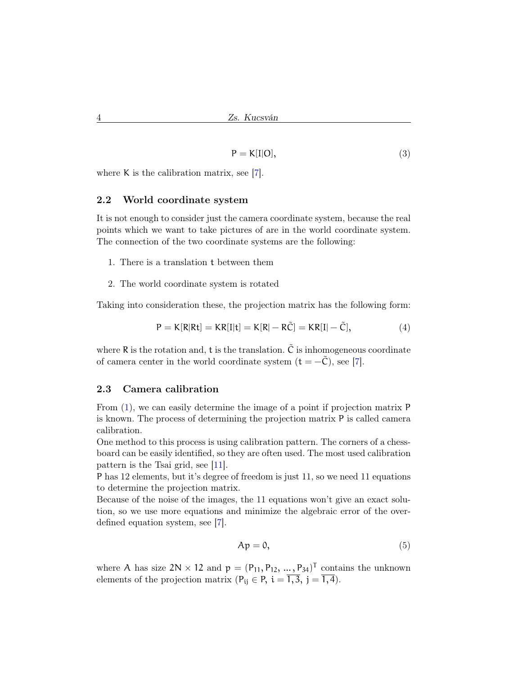$$
P = K[I|O], \tag{3}
$$

where K is the calibration matrix, see [\[7\]](#page-9-3).

#### 2.2 World coordinate system

It is not enough to consider just the camera coordinate system, because the real points which we want to take pictures of are in the world coordinate system. The connection of the two coordinate systems are the following:

- 1. There is a translation t between them
- 2. The world coordinate system is rotated

Taking into consideration these, the projection matrix has the following form:

$$
P = K[R|Rt] = KR[I|t] = K[R] - R\tilde{C} = KR[I] - \tilde{C},
$$
\n(4)

where R is the rotation and, t is the translation.  $\tilde{C}$  is inhomogeneous coordinate of camera center in the world coordinate system  $(t = -\tilde{C})$ , see [\[7\]](#page-9-3).

#### 2.3 Camera calibration

From [\(1\)](#page-2-0), we can easily determine the image of a point if projection matrix P is known. The process of determining the projection matrix P is called camera calibration.

One method to this process is using calibration pattern. The corners of a chessboard can be easily identified, so they are often used. The most used calibration pattern is the Tsai grid, see [\[11\]](#page-10-1).

P has 12 elements, but it's degree of freedom is just 11, so we need 11 equations to determine the projection matrix.

Because of the noise of the images, the 11 equations won't give an exact solution, so we use more equations and minimize the algebraic error of the overdefined equation system, see [\[7\]](#page-9-3).

<span id="page-3-0"></span>
$$
Ap = 0,\t\t(5)
$$

where A has size  $2N \times 12$  and  $p = (P_{11}, P_{12}, \dots, P_{34})^T$  contains the unknown elements of the projection matrix ( $P_{ij} \in P$ ,  $i = \overline{1,3}$ ,  $j = \overline{1,4}$ ).

<span id="page-3-1"></span>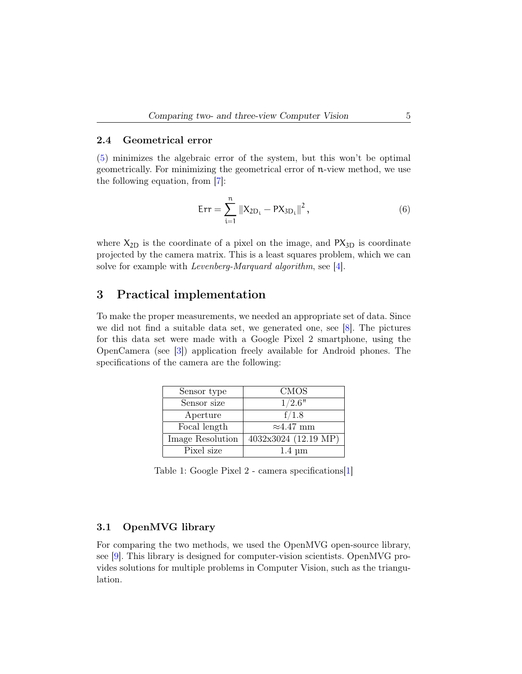#### <span id="page-4-0"></span>2.4 Geometrical error

[\(5\)](#page-3-0) minimizes the algebraic error of the system, but this won't be optimal geometrically. For minimizing the geometrical error of n-view method, we use the following equation, from [\[7\]](#page-9-3):

$$
Err = \sum_{i=1}^{n} \|X_{2D_i} - PX_{3D_i}\|^2, \qquad (6)
$$

where  $X_{2D}$  is the coordinate of a pixel on the image, and  $PX_{3D}$  is coordinate projected by the camera matrix. This is a least squares problem, which we can solve for example with Levenberg-Marquard algorithm, see [\[4\]](#page-9-4).

### 3 Practical implementation

To make the proper measurements, we needed an appropriate set of data. Since we did not find a suitable data set, we generated one, see [\[8\]](#page-9-5). The pictures for this data set were made with a Google Pixel 2 smartphone, using the OpenCamera (see [\[3\]](#page-9-6)) application freely available for Android phones. The specifications of the camera are the following:

| Sensor type      | <b>CMOS</b>          |
|------------------|----------------------|
| Sensor size      | 1/2.6"               |
| Aperture         | f/1.8                |
| Focal length     | $\approx 4.47$ mm    |
| Image Resolution | 4032x3024 (12.19 MP) |
| Pixel size       | $1.4 \mu m$          |

Table 1: Google Pixel 2 - camera specifications[\[1\]](#page-9-7)

#### 3.1 OpenMVG library

For comparing the two methods, we used the OpenMVG open-source library, see [\[9\]](#page-10-2). This library is designed for computer-vision scientists. OpenMVG provides solutions for multiple problems in Computer Vision, such as the triangulation.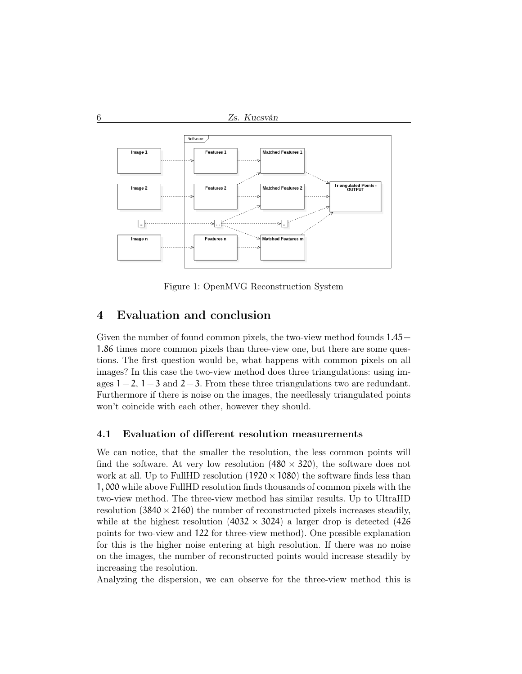

Figure 1: OpenMVG Reconstruction System

## 4 Evaluation and conclusion

Given the number of found common pixels, the two-view method founds 1.45− 1.86 times more common pixels than three-view one, but there are some questions. The first question would be, what happens with common pixels on all images? In this case the two-view method does three triangulations: using images  $1 - 2$ ,  $1 - 3$  and  $2 - 3$ . From these three triangulations two are redundant. Furthermore if there is noise on the images, the needlessly triangulated points won't coincide with each other, however they should.

#### 4.1 Evaluation of different resolution measurements

We can notice, that the smaller the resolution, the less common points will find the software. At very low resolution  $(480 \times 320)$ , the software does not work at all. Up to FullHD resolution  $(1920 \times 1080)$  the software finds less than 1, 000 while above FullHD resolution finds thousands of common pixels with the two-view method. The three-view method has similar results. Up to UltraHD resolution  $(3840 \times 2160)$  the number of reconstructed pixels increases steadily, while at the highest resolution  $(4032 \times 3024)$  a larger drop is detected  $(426$ points for two-view and 122 for three-view method). One possible explanation for this is the higher noise entering at high resolution. If there was no noise on the images, the number of reconstructed points would increase steadily by increasing the resolution.

Analyzing the dispersion, we can observe for the three-view method this is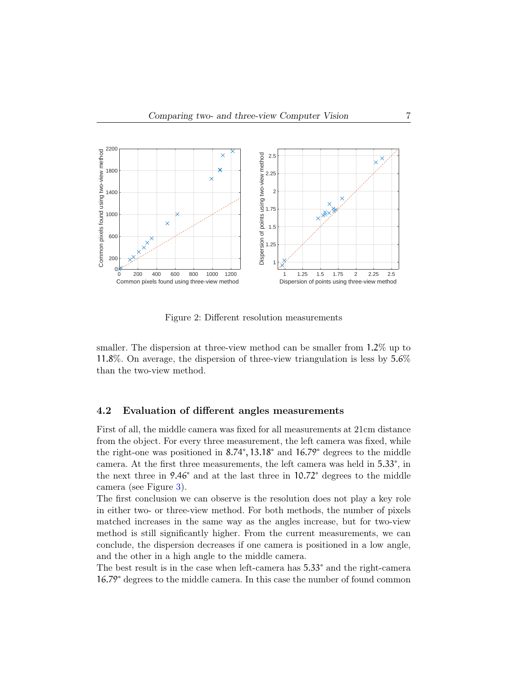

Figure 2: Different resolution measurements

smaller. The dispersion at three-view method can be smaller from 1.2% up to 11.8%. On average, the dispersion of three-view triangulation is less by 5.6% than the two-view method.

#### 4.2 Evaluation of different angles measurements

First of all, the middle camera was fixed for all measurements at 21cm distance from the object. For every three measurement, the left camera was fixed, while the right-one was positioned in 8.74°, 13.18° and 16.79° degrees to the middle camera. At the first three measurements, the left camera was held in 5.33°, in the next three in 9.46° and at the last three in 10.72° degrees to the middle camera (see Figure [3\)](#page-7-0).

The first conclusion we can observe is the resolution does not play a key role in either two- or three-view method. For both methods, the number of pixels matched increases in the same way as the angles increase, but for two-view method is still significantly higher. From the current measurements, we can conclude, the dispersion decreases if one camera is positioned in a low angle, and the other in a high angle to the middle camera.

The best result is in the case when left-camera has 5.33° and the right-camera 16.79° degrees to the middle camera. In this case the number of found common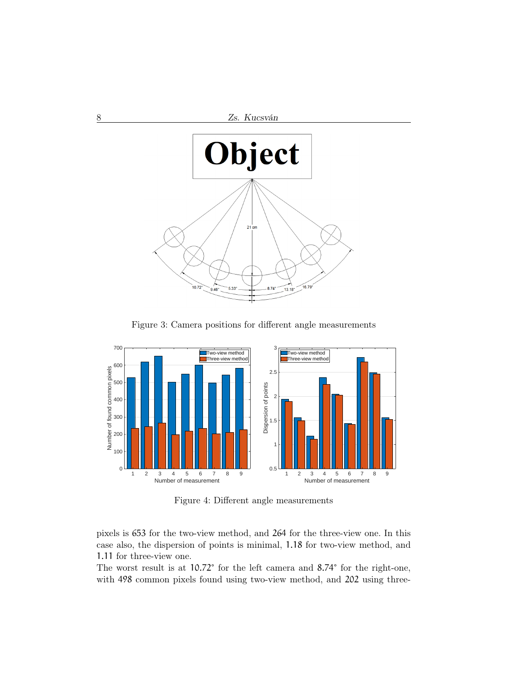

<span id="page-7-0"></span>Figure 3: Camera positions for different angle measurements



Figure 4: Different angle measurements

pixels is 653 for the two-view method, and 264 for the three-view one. In this case also, the dispersion of points is minimal, 1.18 for two-view method, and 1.11 for three-view one.

The worst result is at 10.72° for the left camera and 8.74° for the right-one, with 498 common pixels found using two-view method, and 202 using three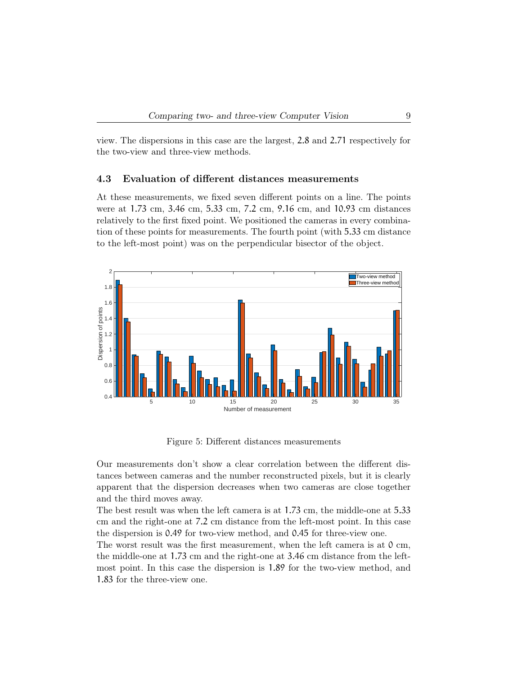view. The dispersions in this case are the largest, 2.8 and 2.71 respectively for the two-view and three-view methods.

#### 4.3 Evaluation of different distances measurements

At these measurements, we fixed seven different points on a line. The points were at 1.73 cm, 3.46 cm, 5.33 cm, 7.2 cm, 9.16 cm, and 10.93 cm distances relatively to the first fixed point. We positioned the cameras in every combination of these points for measurements. The fourth point (with 5.33 cm distance to the left-most point) was on the perpendicular bisector of the object.



Figure 5: Different distances measurements

Our measurements don't show a clear correlation between the different distances between cameras and the number reconstructed pixels, but it is clearly apparent that the dispersion decreases when two cameras are close together and the third moves away.

The best result was when the left camera is at 1.73 cm, the middle-one at 5.33 cm and the right-one at 7.2 cm distance from the left-most point. In this case the dispersion is 0.49 for two-view method, and 0.45 for three-view one.

The worst result was the first measurement, when the left camera is at 0 cm, the middle-one at 1.73 cm and the right-one at 3.46 cm distance from the leftmost point. In this case the dispersion is 1.89 for the two-view method, and 1.83 for the three-view one.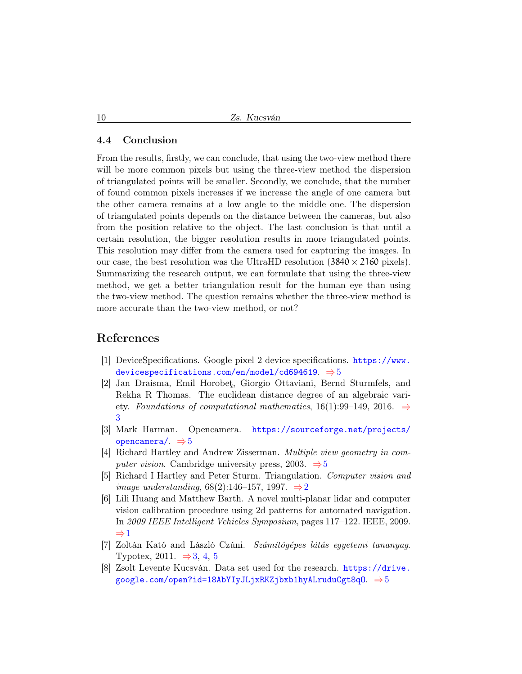#### 4.4 Conclusion

From the results, firstly, we can conclude, that using the two-view method there will be more common pixels but using the three-view method the dispersion of triangulated points will be smaller. Secondly, we conclude, that the number of found common pixels increases if we increase the angle of one camera but the other camera remains at a low angle to the middle one. The dispersion of triangulated points depends on the distance between the cameras, but also from the position relative to the object. The last conclusion is that until a certain resolution, the bigger resolution results in more triangulated points. This resolution may differ from the camera used for capturing the images. In our case, the best resolution was the UltraHD resolution  $(3840 \times 2160)$  pixels). Summarizing the research output, we can formulate that using the three-view method, we get a better triangulation result for the human eye than using the two-view method. The question remains whether the three-view method is more accurate than the two-view method, or not?

### References

- <span id="page-9-7"></span>[1] DeviceSpecifications. Google pixel 2 device specifications. [https://www.](https://www.devicespecifications.com/en/model/cd694619) [devicespecifications.com/en/model/cd694619](https://www.devicespecifications.com/en/model/cd694619).  $\Rightarrow$  [5](#page-4-0)
- <span id="page-9-2"></span>[2] Jan Draisma, Emil Horobeţ, Giorgio Ottaviani, Bernd Sturmfels, and Rekha R Thomas. The euclidean distance degree of an algebraic variety. Foundations of computational mathematics, 16(1):99–149, 2016.  $\Rightarrow$ [3](#page-2-1)
- <span id="page-9-6"></span>[3] Mark Harman. Opencamera. [https://sourceforge.net/projects/](https://sourceforge.net/projects/opencamera/) [opencamera/](https://sourceforge.net/projects/opencamera/).  $\Rightarrow$  [5](#page-4-0)
- <span id="page-9-4"></span>[4] Richard Hartley and Andrew Zisserman. Multiple view geometry in computer vision. Cambridge university press, 2003.  $\Rightarrow$  [5](#page-4-0)
- <span id="page-9-1"></span>[5] Richard I Hartley and Peter Sturm. Triangulation. Computer vision and image understanding, 68([2](#page-1-0)):146–157, 1997.  $\Rightarrow$  2
- <span id="page-9-0"></span>[6] Lili Huang and Matthew Barth. A novel multi-planar lidar and computer vision calibration procedure using 2d patterns for automated navigation. In 2009 IEEE Intelligent Vehicles Symposium, pages 117–122. IEEE, 2009. <sup>⇒</sup>[1](#page-0-0)
- <span id="page-9-3"></span>[7] Zoltán Kató and László Czúni. Számítógépes látás egyetemi tananyag. Typotex, 2011.  $\Rightarrow$  [3,](#page-2-1) [4,](#page-3-1) [5](#page-4-0)
- <span id="page-9-5"></span>[8] Zsolt Levente Kucsván. Data set used for the research. [https://drive.](https://drive.google.com/open?id=18AbYIyJLjxRKZjbxb1hyALruduCgt8qO) google.com/open?id=18AbYIyJLjxRKZjbxb1hyALruduCgt8q0.  $\Rightarrow$ [5](#page-4-0)